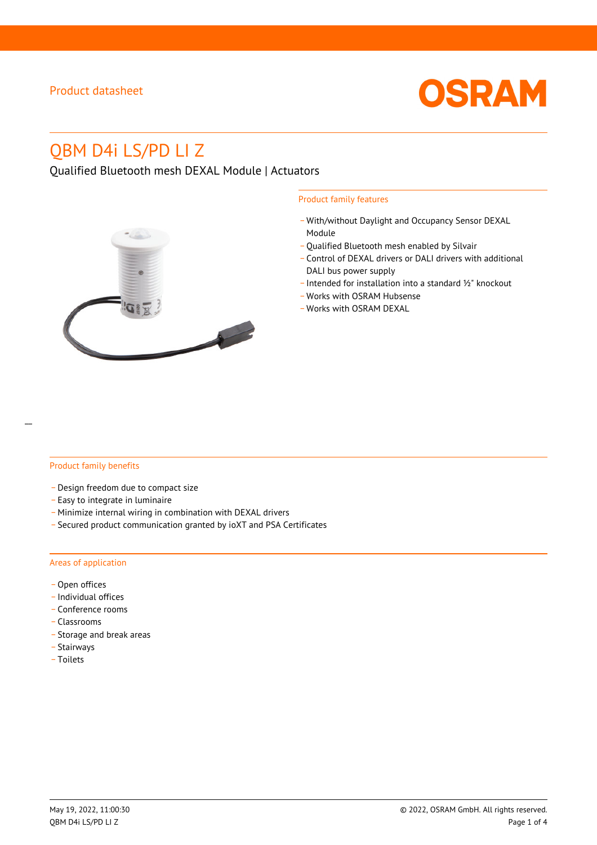

# QBM D4i LS/PD LI Z

Qualified Bluetooth mesh DEXAL Module | Actuators



#### Product family features

- \_ With/without Daylight and Occupancy Sensor DEXAL Module
- Qualified Bluetooth mesh enabled by Silvair
- \_ Control of DEXAL drivers or DALI drivers with additional DALI bus power supply
- \_ Intended for installation into a standard ½" knockout
- \_ Works with OSRAM Hubsense
- Works with OSRAM DEXAL

#### Product family benefits

- \_ Design freedom due to compact size
- \_ Easy to integrate in luminaire
- \_ Minimize internal wiring in combination with DEXAL drivers
- \_ Secured product communication granted by ioXT and PSA Certificates

#### Areas of application

- Open offices
- \_ Individual offices
- Conference rooms
- \_ Classrooms
- \_ Storage and break areas
- \_ Stairways
- \_ Toilets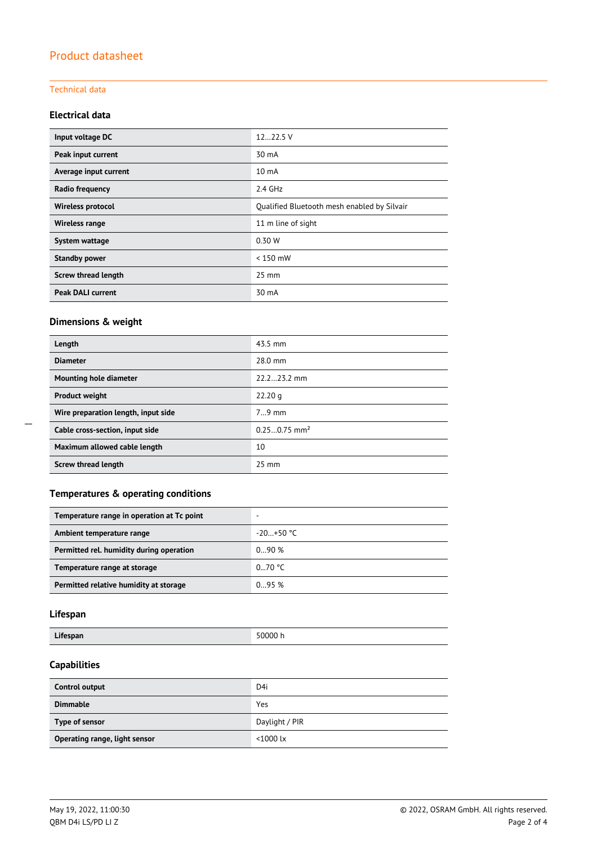#### Technical data

#### **Electrical data**

| Input voltage DC         | 1222.5 V                                    |  |
|--------------------------|---------------------------------------------|--|
| Peak input current       | 30 mA                                       |  |
| Average input current    | 10 mA                                       |  |
| Radio frequency          | $2.4$ GHz                                   |  |
| <b>Wireless protocol</b> | Qualified Bluetooth mesh enabled by Silvair |  |
| Wireless range           | 11 m line of sight                          |  |
| System wattage           | 0.30 W                                      |  |
| <b>Standby power</b>     | $< 150$ mW                                  |  |
| Screw thread length      | $25 \text{ mm}$                             |  |
| <b>Peak DALI current</b> | 30 mA                                       |  |

### **Dimensions & weight**

| Length                              | 43.5 mm                    |
|-------------------------------------|----------------------------|
| <b>Diameter</b>                     | $28.0$ mm                  |
| Mounting hole diameter              | 22.223.2 mm                |
| <b>Product weight</b>               | 22.20 g                    |
| Wire preparation length, input side | $79$ mm                    |
| Cable cross-section, input side     | $0.250.75$ mm <sup>2</sup> |
| Maximum allowed cable length        | 10                         |
| Screw thread length                 | $25 \text{ mm}$            |

### **Temperatures & operating conditions**

| Temperature range in operation at Tc point |             |
|--------------------------------------------|-------------|
| Ambient temperature range                  | $-20+50$ °C |
| Permitted rel. humidity during operation   | 090%        |
| Temperature range at storage               | 070 °C      |
| Permitted relative humidity at storage     | 0.95%       |

# **Lifespan**

### **Capabilities**

| Control output                | D4i            |
|-------------------------------|----------------|
| <b>Dimmable</b>               | Yes            |
| Type of sensor                | Daylight / PIR |
| Operating range, light sensor | $<$ 1000 lx    |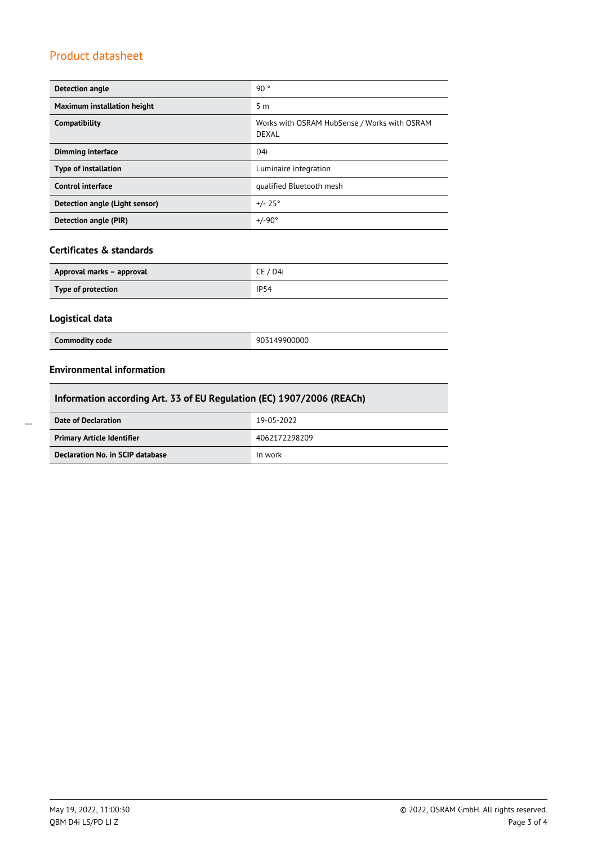| <b>Detection angle</b>         | 90°                                                          |  |
|--------------------------------|--------------------------------------------------------------|--|
| Maximum installation height    | 5 <sub>m</sub>                                               |  |
| Compatibility                  | Works with OSRAM HubSense / Works with OSRAM<br><b>DEXAL</b> |  |
| <b>Dimming interface</b>       | D4i                                                          |  |
| <b>Type of installation</b>    | Luminaire integration                                        |  |
| <b>Control interface</b>       | qualified Bluetooth mesh                                     |  |
| Detection angle (Light sensor) | $+/- 25^{\circ}$                                             |  |
| Detection angle (PIR)          | $+/-90^{\circ}$                                              |  |

### **Certificates & standards**

| Approval marks – approval | CE / D4i    |
|---------------------------|-------------|
| Type of protection        | <b>IP54</b> |

### **Logistical data**

| Commodity code | 903149900000 |
|----------------|--------------|
|                |              |

#### **Environmental information**

| Information according Art. 33 of EU Regulation (EC) 1907/2006 (REACh) |               |  |
|-----------------------------------------------------------------------|---------------|--|
| Date of Declaration                                                   | 19-05-2022    |  |
| <b>Primary Article Identifier</b>                                     | 4062172298209 |  |
| Declaration No. in SCIP database                                      | In work       |  |

 $\overline{a}$